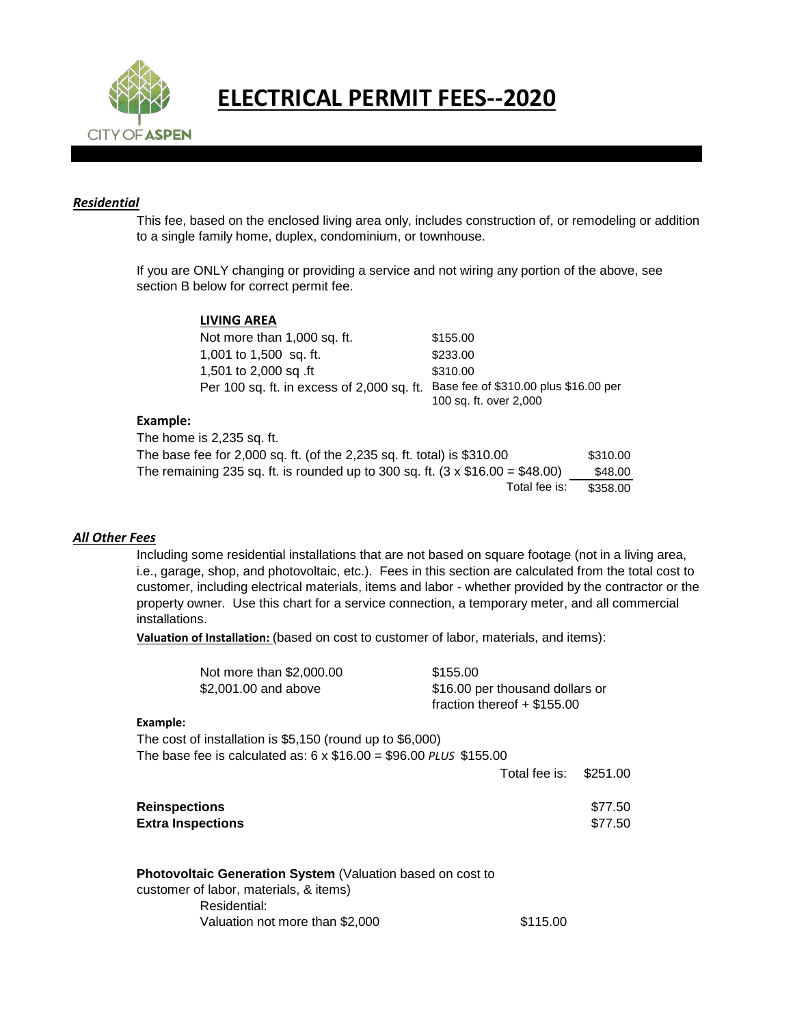

## **ELECTRICAL PERMIT FEES--2020**

## *Residential*

This fee, based on the enclosed living area only, includes construction of, or remodeling or addition to a single family home, duplex, condominium, or townhouse.

If you are ONLY changing or providing a service and not wiring any portion of the above, see section B below for correct permit fee.

|                                                                                     | <b>LIVING AREA</b>                         |                                                                 |  |
|-------------------------------------------------------------------------------------|--------------------------------------------|-----------------------------------------------------------------|--|
|                                                                                     | Not more than 1,000 sq. ft.                | \$155.00                                                        |  |
|                                                                                     | 1,001 to 1,500 sq. ft.                     | \$233.00                                                        |  |
|                                                                                     | 1,501 to 2,000 sq .ft                      | \$310.00                                                        |  |
|                                                                                     | Per 100 sq. ft. in excess of 2,000 sq. ft. | Base fee of \$310.00 plus \$16.00 per<br>100 sq. ft. over 2,000 |  |
| Example:                                                                            |                                            |                                                                 |  |
|                                                                                     | The home is 2,235 sq. ft.                  |                                                                 |  |
| The base fee for 2,000 sq. ft. (of the 2,235 sq. ft. total) is \$310.00<br>\$310.00 |                                            |                                                                 |  |

| The base fee for 2,000 sq. ft. (of the 2,235 sq. ft. total) is \$310.00             | \$310.00 |
|-------------------------------------------------------------------------------------|----------|
| The remaining 235 sq. ft. is rounded up to 300 sq. ft. $(3 \times $16.00 = $48.00)$ | \$48.00  |
| Total fee is:                                                                       | \$358.00 |

## *All Other Fees*

Including some residential installations that are not based on square footage (not in a living area, i.e., garage, shop, and photovoltaic, etc.). Fees in this section are calculated from the total cost to customer, including electrical materials, items and labor - whether provided by the contractor or the property owner. Use this chart for a service connection, a temporary meter, and all commercial installations.

**Valuation of Installation:** (based on cost to customer of labor, materials, and items):

| Not more than \$2,000.00 | \$155.00                        |
|--------------------------|---------------------------------|
| \$2,001.00 and above     | \$16.00 per thousand dollars or |
|                          | fraction thereof $+$ \$155.00   |

## **Example:**

The cost of installation is \$5,150 (round up to \$6,000)

The base fee is calculated as: 6 x \$16.00 = \$96.00 *PLUS* \$155.00

|                      | Total fee is: \$251.00 |         |
|----------------------|------------------------|---------|
| <b>Reinspections</b> |                        | \$77.50 |

| <b>ITEINSPECTIONS</b>    | <b>ULLOU</b> |
|--------------------------|--------------|
| <b>Extra Inspections</b> | \$77.50      |

| <b>Photovoltaic Generation System (Valuation based on cost to</b> |          |
|-------------------------------------------------------------------|----------|
| customer of labor, materials, & items)                            |          |
| Residential:                                                      |          |
| Valuation not more than \$2,000                                   | \$115.00 |